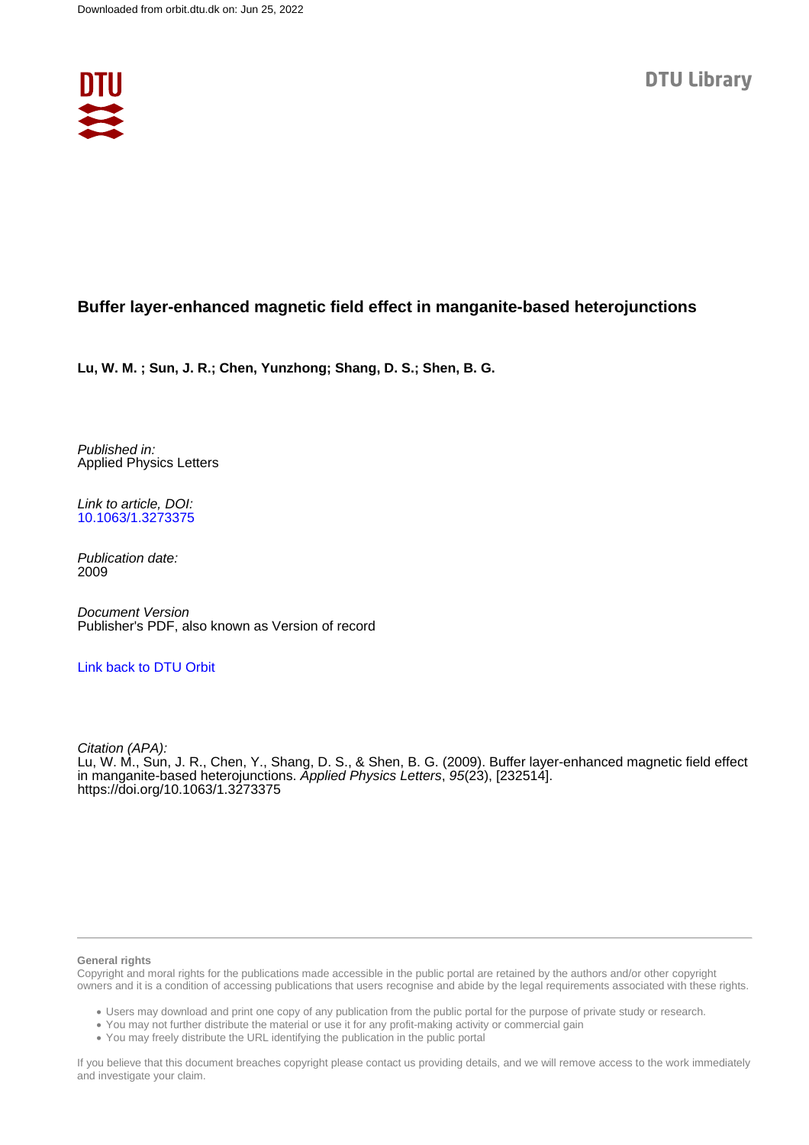

## **Buffer layer-enhanced magnetic field effect in manganite-based heterojunctions**

**Lu, W. M. ; Sun, J. R.; Chen, Yunzhong; Shang, D. S.; Shen, B. G.**

Published in: Applied Physics Letters

Link to article, DOI: [10.1063/1.3273375](https://doi.org/10.1063/1.3273375)

Publication date: 2009

Document Version Publisher's PDF, also known as Version of record

### [Link back to DTU Orbit](https://orbit.dtu.dk/en/publications/70a011c0-bcc6-4544-93fd-02cf0b600f1e)

Citation (APA): Lu, W. M., Sun, J. R., Chen, Y., Shang, D. S., & Shen, B. G. (2009). Buffer layer-enhanced magnetic field effect in manganite-based heterojunctions. Applied Physics Letters, 95(23), [232514]. <https://doi.org/10.1063/1.3273375>

#### **General rights**

Copyright and moral rights for the publications made accessible in the public portal are retained by the authors and/or other copyright owners and it is a condition of accessing publications that users recognise and abide by the legal requirements associated with these rights.

Users may download and print one copy of any publication from the public portal for the purpose of private study or research.

- You may not further distribute the material or use it for any profit-making activity or commercial gain
- You may freely distribute the URL identifying the publication in the public portal

If you believe that this document breaches copyright please contact us providing details, and we will remove access to the work immediately and investigate your claim.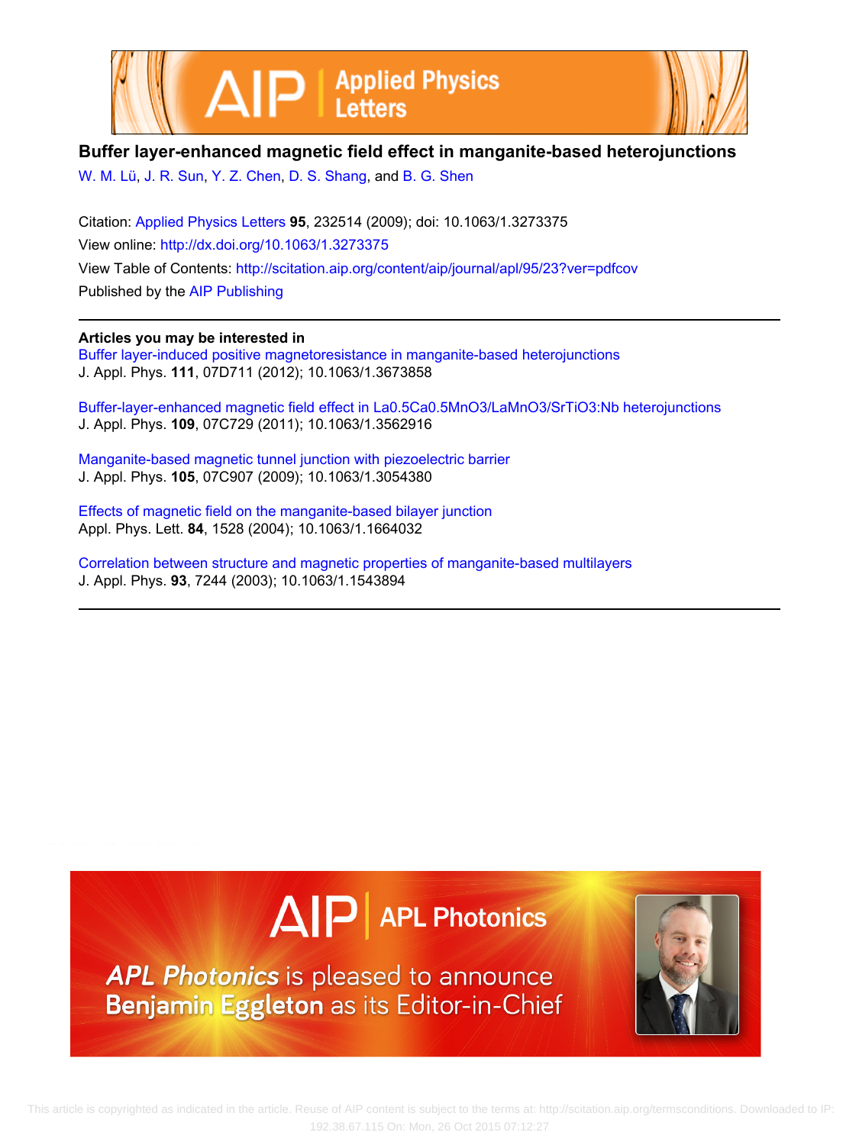



## **Buffer layer-enhanced magnetic field effect in manganite-based heterojunctions**

[W. M. Lü](http://scitation.aip.org/search?value1=W.+M.+L�&option1=author), [J. R. Sun,](http://scitation.aip.org/search?value1=J.+R.+Sun&option1=author) [Y. Z. Chen](http://scitation.aip.org/search?value1=Y.+Z.+Chen&option1=author), [D. S. Shang,](http://scitation.aip.org/search?value1=D.+S.+Shang&option1=author) and [B. G. Shen](http://scitation.aip.org/search?value1=B.+G.+Shen&option1=author)

Citation: [Applied Physics Letters](http://scitation.aip.org/content/aip/journal/apl?ver=pdfcov) **95**, 232514 (2009); doi: 10.1063/1.3273375 View online: <http://dx.doi.org/10.1063/1.3273375> View Table of Contents:<http://scitation.aip.org/content/aip/journal/apl/95/23?ver=pdfcov> Published by the [AIP Publishing](http://scitation.aip.org/content/aip?ver=pdfcov)

#### **Articles you may be interested in**

[Buffer layer-induced positive magnetoresistance in manganite-based heterojunctions](http://scitation.aip.org/content/aip/journal/jap/111/7/10.1063/1.3673858?ver=pdfcov) J. Appl. Phys. **111**, 07D711 (2012); 10.1063/1.3673858

[Buffer-layer-enhanced magnetic field effect in La0.5Ca0.5MnO3/LaMnO3/SrTiO3:Nb heterojunctions](http://scitation.aip.org/content/aip/journal/jap/109/7/10.1063/1.3562916?ver=pdfcov) J. Appl. Phys. **109**, 07C729 (2011); 10.1063/1.3562916

[Manganite-based magnetic tunnel junction with piezoelectric barrier](http://scitation.aip.org/content/aip/journal/jap/105/7/10.1063/1.3054380?ver=pdfcov) J. Appl. Phys. **105**, 07C907 (2009); 10.1063/1.3054380

[Effects of magnetic field on the manganite-based bilayer junction](http://scitation.aip.org/content/aip/journal/apl/84/9/10.1063/1.1664032?ver=pdfcov) Appl. Phys. Lett. **84**, 1528 (2004); 10.1063/1.1664032

[Correlation between structure and magnetic properties of manganite-based multilayers](http://scitation.aip.org/content/aip/journal/jap/93/10/10.1063/1.1543894?ver=pdfcov) J. Appl. Phys. **93**, 7244 (2003); 10.1063/1.1543894





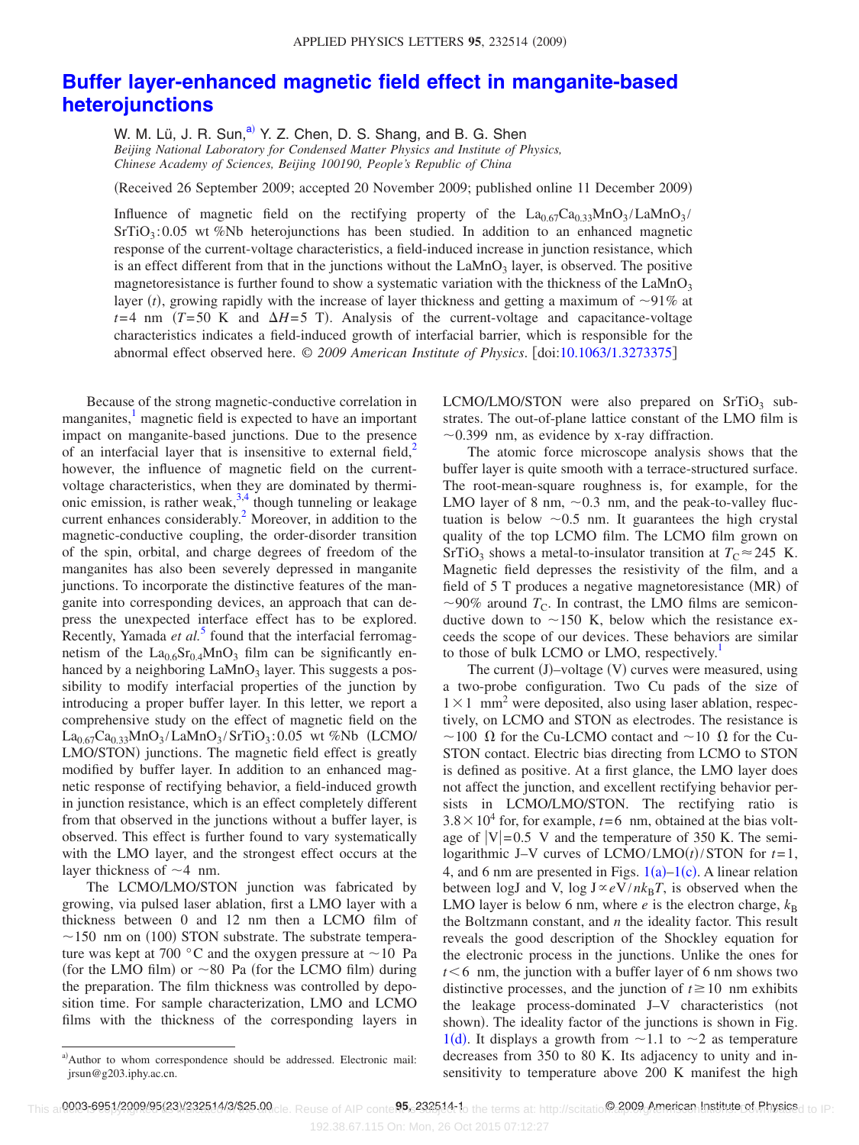# **[Buffer layer-enhanced magnetic field effect in manganite-based](http://dx.doi.org/10.1063/1.3273375) [heterojunctions](http://dx.doi.org/10.1063/1.3273375)**

W. M. Lü, J. R. Sun, $a^2$  Y. Z. Chen, D. S. Shang, and B. G. Shen *Beijing National Laboratory for Condensed Matter Physics and Institute of Physics, Chinese Academy of Sciences, Beijing 100190, People's Republic of China*

Received 26 September 2009; accepted 20 November 2009; published online 11 December 2009-

Influence of magnetic field on the rectifying property of the  $La_{0.67}Ca_{0.33}MnO_3/LaMnO_3$ SrTiO<sub>3</sub>:0.05 wt %Nb heterojunctions has been studied. In addition to an enhanced magnetic response of the current-voltage characteristics, a field-induced increase in junction resistance, which is an effect different from that in the junctions without the  $LaMnO<sub>3</sub>$  layer, is observed. The positive magnetoresistance is further found to show a systematic variation with the thickness of the  $LaMnO<sub>3</sub>$ layer (*t*), growing rapidly with the increase of layer thickness and getting a maximum of  $\sim$ 91% at  $t=4$  nm  $(T=50 \text{ K}$  and  $\Delta H=5 \text{ T}$ ). Analysis of the current-voltage and capacitance-voltage characteristics indicates a field-induced growth of interfacial barrier, which is responsible for the abnormal effect observed here. © *2009 American Institute of Physics*. doi[:10.1063/1.3273375](http://dx.doi.org/10.1063/1.3273375)

Because of the strong magnetic-conductive correlation in manganites,<sup>1</sup> magnetic field is expected to have an important impact on manganite-based junctions. Due to the presence of an interfacial layer that is insensitive to external field, $\lambda^2$ however, the influence of magnetic field on the currentvoltage characteristics, when they are dominated by thermionic emission, is rather weak,  $3,4$  $3,4$  though tunneling or leakage current enhances considerably.<sup>2</sup> Moreover, in addition to the magnetic-conductive coupling, the order-disorder transition of the spin, orbital, and charge degrees of freedom of the manganites has also been severely depressed in manganite junctions. To incorporate the distinctive features of the manganite into corresponding devices, an approach that can depress the unexpected interface effect has to be explored. Recently, Yamada *et al.*<sup>[5](#page-4-4)</sup> found that the interfacial ferromagnetism of the  $La_{0.6}Sr_{0.4}MnO_3$  film can be significantly enhanced by a neighboring  $LaMnO<sub>3</sub>$  layer. This suggests a possibility to modify interfacial properties of the junction by introducing a proper buffer layer. In this letter, we report a comprehensive study on the effect of magnetic field on the La0.67Ca0.33MnO3 /LaMnO3 /SrTiO3 : 0.05 wt *%*Nb LCMO/ LMO/STON) junctions. The magnetic field effect is greatly modified by buffer layer. In addition to an enhanced magnetic response of rectifying behavior, a field-induced growth in junction resistance, which is an effect completely different from that observed in the junctions without a buffer layer, is observed. This effect is further found to vary systematically with the LMO layer, and the strongest effect occurs at the layer thickness of  $\sim$  4 nm.

The LCMO/LMO/STON junction was fabricated by growing, via pulsed laser ablation, first a LMO layer with a thickness between 0 and 12 nm then a LCMO film of  $\sim$ 150 nm on (100) STON substrate. The substrate temperature was kept at 700  $\degree$ C and the oxygen pressure at  $\sim$ 10 Pa (for the LMO film) or  $\sim$  80 Pa (for the LCMO film) during the preparation. The film thickness was controlled by deposition time. For sample characterization, LMO and LCMO films with the thickness of the corresponding layers in

LCMO/LMO/STON were also prepared on  $SrTiO<sub>3</sub>$  substrates. The out-of-plane lattice constant of the LMO film is  $\sim$ 0.399 nm, as evidence by x-ray diffraction.

The atomic force microscope analysis shows that the buffer layer is quite smooth with a terrace-structured surface. The root-mean-square roughness is, for example, for the LMO layer of 8 nm,  $\sim 0.3$  nm, and the peak-to-valley fluctuation is below  $\sim 0.5$  nm. It guarantees the high crystal quality of the top LCMO film. The LCMO film grown on SrTiO<sub>3</sub> shows a metal-to-insulator transition at  $T_C \approx 245$  K. Magnetic field depresses the resistivity of the film, and a field of 5 T produces a negative magnetoresistance (MR) of  $\sim$ 90% around  $T_c$ . In contrast, the LMO films are semiconductive down to  $\sim$ 150 K, below which the resistance exceeds the scope of our devices. These behaviors are similar to those of bulk LCMO or LMO, respectively.<sup>1</sup>

The current (J)-voltage (V) curves were measured, using a two-probe configuration. Two Cu pads of the size of  $1 \times 1$  mm<sup>2</sup> were deposited, also using laser ablation, respectively, on LCMO and STON as electrodes. The resistance is  $\sim$ 100  $\Omega$  for the Cu-LCMO contact and  $\sim$ 10  $\Omega$  for the Cu-STON contact. Electric bias directing from LCMO to STON is defined as positive. At a first glance, the LMO layer does not affect the junction, and excellent rectifying behavior persists in LCMO/LMO/STON. The rectifying ratio is  $3.8 \times 10^4$  for, for example,  $t=6$  nm, obtained at the bias voltage of  $|V|= 0.5$  V and the temperature of 350 K. The semilogarithmic J–V curves of  $LCMO/LMO(t)/STON$  for  $t=1$ , 4, and 6 nm are presented in Figs.  $1(a)-1(c)$  $1(a)-1(c)$ . A linear relation between logJ and V, log  $J \propto eV/nk_BT$ , is observed when the LMO layer is below 6 nm, where  $e$  is the electron charge,  $k_B$ the Boltzmann constant, and *n* the ideality factor. This result reveals the good description of the Shockley equation for the electronic process in the junctions. Unlike the ones for  $t \leq 6$  nm, the junction with a buffer layer of 6 nm shows two distinctive processes, and the junction of  $t \ge 10$  nm exhibits the leakage process-dominated J–V characteristics (not shown). The ideality factor of the junctions is shown in Fig. [1](#page-3-0)(d). It displays a growth from  $\sim$  1.1 to  $\sim$  2 as temperature decreases from 350 to 80 K. Its adjacency to unity and insensitivity to temperature above 200 K manifest the high

<span id="page-2-0"></span>a)Author to whom correspondence should be addressed. Electronic mail: jrsun@g203.iphy.ac.cn.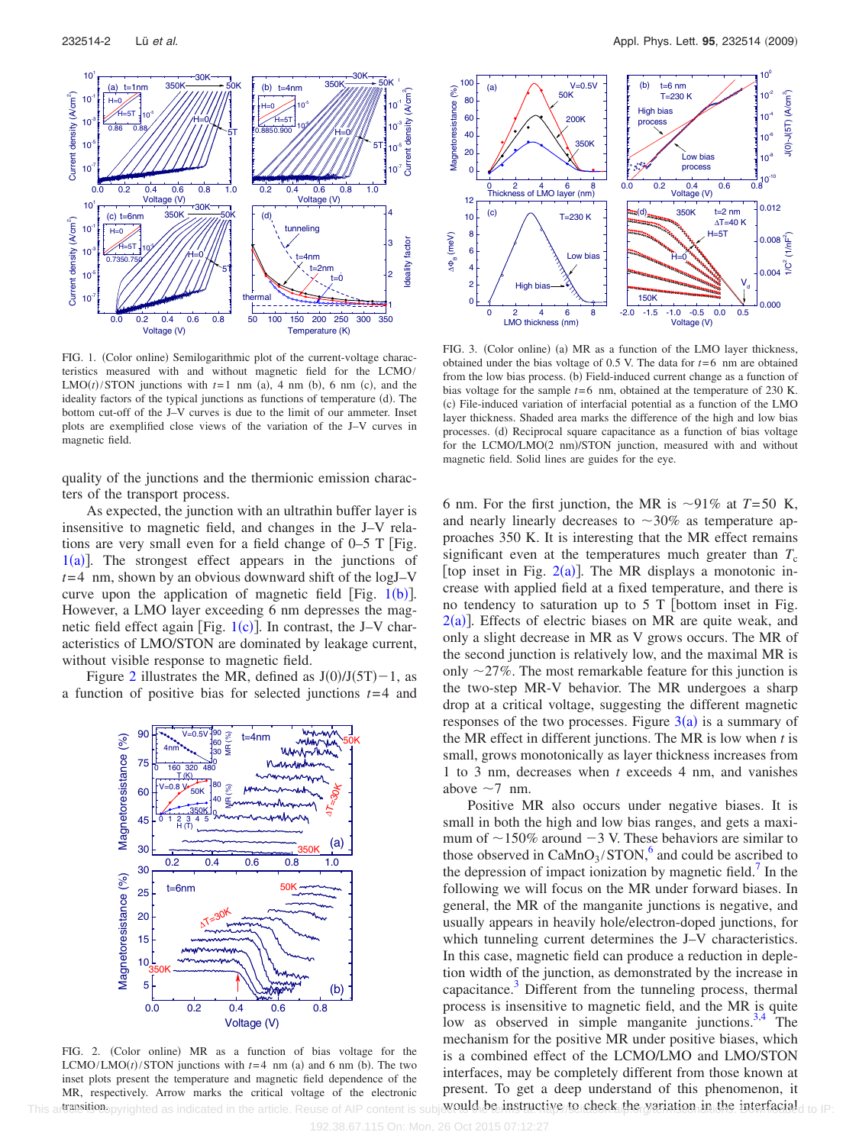<span id="page-3-0"></span>

FIG. 1. (Color online) Semilogarithmic plot of the current-voltage characteristics measured with and without magnetic field for the LCMO/  $LMO(t)/STON$  junctions with  $t=1$  nm (a), 4 nm (b), 6 nm (c), and the ideality factors of the typical junctions as functions of temperature (d). The bottom cut-off of the J–V curves is due to the limit of our ammeter. Inset plots are exemplified close views of the variation of the J–V curves in magnetic field.

quality of the junctions and the thermionic emission characters of the transport process.

As expected, the junction with an ultrathin buffer layer is insensitive to magnetic field, and changes in the J–V relations are very small even for a field change of  $0-5$  T [Fig.  $1(a)$  $1(a)$ ]. The strongest effect appears in the junctions of  $t=4$  nm, shown by an obvious downward shift of the logJ–V curve upon the application of magnetic field [Fig.  $1(b)$  $1(b)$ ]. However, a LMO layer exceeding 6 nm depresses the magnetic field effect again [Fig.  $1(c)$  $1(c)$ ]. In contrast, the J–V characteristics of LMO/STON are dominated by leakage current, without visible response to magnetic field.

<span id="page-3-1"></span>Figure [2](#page-3-1) illustrates the MR, defined as  $J(0)/J(5T)-1$ , as a function of positive bias for selected junctions *t*= 4 and



FIG. 2. (Color online) MR as a function of bias voltage for the  $LCMO/LMO(t)/STON$  junctions with  $t=4$  nm (a) and 6 nm (b). The two inset plots present the temperature and magnetic field dependence of the MR, respectively. Arrow marks the critical voltage of the electronic

<span id="page-3-2"></span>

FIG. 3. (Color online) (a) MR as a function of the LMO layer thickness, obtained under the bias voltage of  $0.5$  V. The data for  $t=6$  nm are obtained from the low bias process. (b) Field-induced current change as a function of bias voltage for the sample *t*= 6 nm, obtained at the temperature of 230 K. (c) File-induced variation of interfacial potential as a function of the LMO layer thickness. Shaded area marks the difference of the high and low bias processes. (d) Reciprocal square capacitance as a function of bias voltage for the LCMO/LMO(2 nm)/STON junction, measured with and without magnetic field. Solid lines are guides for the eye.

6 nm. For the first junction, the MR is  $\sim$ 91% at *T*=50 K, and nearly linearly decreases to  $\sim 30\%$  as temperature approaches 350 K. It is interesting that the MR effect remains significant even at the temperatures much greater than  $T_c$ [top inset in Fig.  $2(a)$  $2(a)$ ]. The MR displays a monotonic increase with applied field at a fixed temperature, and there is no tendency to saturation up to  $5$  T [bottom inset in Fig.  $2(a)$  $2(a)$ ]. Effects of electric biases on MR are quite weak, and only a slight decrease in MR as V grows occurs. The MR of the second junction is relatively low, and the maximal MR is only  $\sim$  27%. The most remarkable feature for this junction is the two-step MR-V behavior. The MR undergoes a sharp drop at a critical voltage, suggesting the different magnetic responses of the two processes. Figure  $3(a)$  $3(a)$  is a summary of the MR effect in different junctions. The MR is low when *t* is small, grows monotonically as layer thickness increases from 1 to 3 nm, decreases when *t* exceeds 4 nm, and vanishes above  $\sim$ 7 nm.

Positive MR also occurs under negative biases. It is small in both the high and low bias ranges, and gets a maximum of  $\sim$ 150% around  $-3$  V. These behaviors are similar to those observed in  $CaMnO<sub>3</sub>/STON<sup>6</sup>$  and could be ascribed to the depression of impact ionization by magnetic field.<sup> $\prime$ </sup> In the following we will focus on the MR under forward biases. In general, the MR of the manganite junctions is negative, and usually appears in heavily hole/electron-doped junctions, for which tunneling current determines the J–V characteristics. In this case, magnetic field can produce a reduction in depletion width of the junction, as demonstrated by the increase in capacitance. $3$  Different from the tunneling process, thermal process is insensitive to magnetic field, and the MR is quite low as observed in simple manganite junctions. $3,4$  $3,4$  The mechanism for the positive MR under positive biases, which is a combined effect of the LCMO/LMO and LMO/STON interfaces, may be completely different from those known at present. To get a deep understand of this phenomenon, it This artensition pyrighted as indicated in the article. Reuse of AIP content is subjected be instructive to check the yariation in the interfacial to IP: